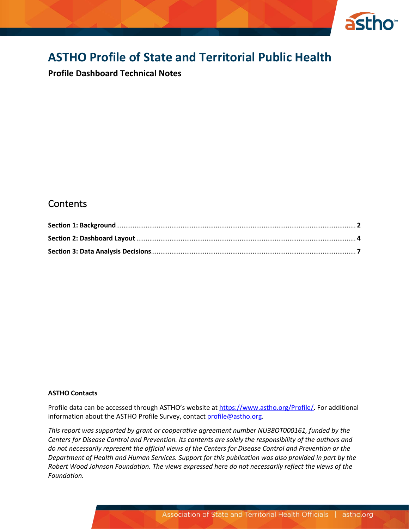

# **ASTHO Profile of State and Territorial Public Health**

**Profile Dashboard Technical Notes**

# **Contents**

#### **ASTHO Contacts**

Profile data can be accessed through ASTHO's website at [https://www.astho.org/Profile/.](https://www.astho.org/Profile/) For additional information about the ASTHO Profile Survey, contact [profile@astho.org.](file:///C:/Users/cperson/Documents/Downloads/profile@astho.org)

*This report was supported by grant or cooperative agreement number NU38OT000161, funded by the Centers for Disease Control and Prevention. Its contents are solely the responsibility of the authors and do not necessarily represent the official views of the Centers for Disease Control and Prevention or the Department of Health and Human Services. Support for this publication was also provided in part by the Robert Wood Johnson Foundation. The views expressed here do not necessarily reflect the views of the Foundation.*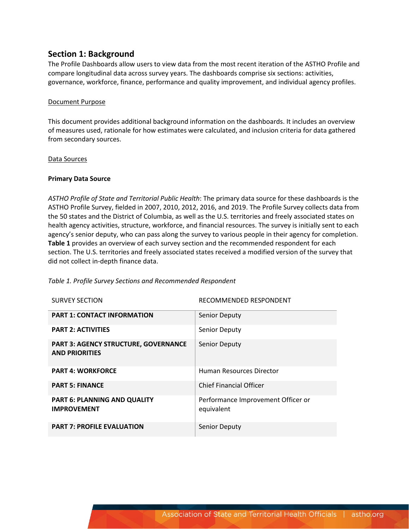## **Section 1: Background**

The Profile Dashboards allow users to view data from the most recent iteration of the ASTHO Profile and compare longitudinal data across survey years. The dashboards comprise six sections: activities, governance, workforce, finance, performance and quality improvement, and individual agency profiles.

#### Document Purpose

This document provides additional background information on the dashboards. It includes an overview of measures used, rationale for how estimates were calculated, and inclusion criteria for data gathered from secondary sources.

#### Data Sources

#### **Primary Data Source**

*ASTHO Profile of State and Territorial Public Health*: The primary data source for these dashboards is the ASTHO Profile Survey, fielded in 2007, 2010, 2012, 2016, and 2019. The Profile Survey collects data from the 50 states and the District of Columbia, as well as the U.S. territories and freely associated states on health agency activities, structure, workforce, and financial resources. The survey is initially sent to each agency's senior deputy, who can pass along the survey to various people in their agency for completion. **Table 1** provides an overview of each survey section and the recommended respondent for each section. The U.S. territories and freely associated states received a modified version of the survey that did not collect in-depth finance data.

| Table 1. Profile Survey Sections and Recommended Respondent |                        |
|-------------------------------------------------------------|------------------------|
| <b>SURVEY SECTION</b>                                       | RECOMMENDED RESPONDENT |
| <b>PART 1: CONTACT INFORMATION</b>                          | <b>Senior Deputy</b>   |
|                                                             | .                      |

| <b>PART 1: CONTACT INFORMATION</b>                                   | Senior Deputy                                    |
|----------------------------------------------------------------------|--------------------------------------------------|
| <b>PART 2: ACTIVITIES</b>                                            | Senior Deputy                                    |
| <b>PART 3: AGENCY STRUCTURE, GOVERNANCE</b><br><b>AND PRIORITIES</b> | <b>Senior Deputy</b>                             |
| <b>PART 4: WORKFORCE</b>                                             | <b>Human Resources Director</b>                  |
| <b>PART 5: FINANCE</b>                                               | <b>Chief Financial Officer</b>                   |
| <b>PART 6: PLANNING AND QUALITY</b><br><b>IMPROVEMENT</b>            | Performance Improvement Officer or<br>equivalent |
| <b>PART 7: PROFILE EVALUATION</b>                                    | Senior Deputy                                    |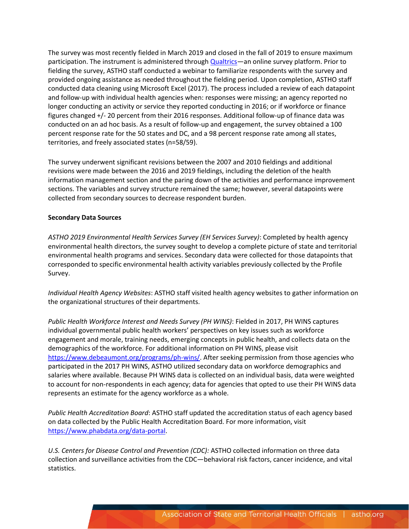The survey was most recently fielded in March 2019 and closed in the fall of 2019 to ensure maximum participation. The instrument is administered through *Qualtrics*—an online survey platform. Prior to fielding the survey, ASTHO staff conducted a webinar to familiarize respondents with the survey and provided ongoing assistance as needed throughout the fielding period. Upon completion, ASTHO staff conducted data cleaning using Microsoft Excel (2017). The process included a review of each datapoint and follow-up with individual health agencies when: responses were missing; an agency reported no longer conducting an activity or service they reported conducting in 2016; or if workforce or finance figures changed +/- 20 percent from their 2016 responses. Additional follow-up of finance data was conducted on an ad hoc basis. As a result of follow-up and engagement, the survey obtained a 100 percent response rate for the 50 states and DC, and a 98 percent response rate among all states, territories, and freely associated states (n=58/59).

The survey underwent significant revisions between the 2007 and 2010 fieldings and additional revisions were made between the 2016 and 2019 fieldings, including the deletion of the health information management section and the paring down of the activities and performance improvement sections. The variables and survey structure remained the same; however, several datapoints were collected from secondary sources to decrease respondent burden.

#### **Secondary Data Sources**

*ASTHO 2019 Environmental Health Services Survey (EH Services Survey)*: Completed by health agency environmental health directors, the survey sought to develop a complete picture of state and territorial environmental health programs and services. Secondary data were collected for those datapoints that corresponded to specific environmental health activity variables previously collected by the Profile Survey.

*Individual Health Agency Websites*: ASTHO staff visited health agency websites to gather information on the organizational structures of their departments.

*Public Health Workforce Interest and Needs Survey (PH WINS)*: Fielded in 2017, PH WINS captures individual governmental public health workers' perspectives on key issues such as workforce engagement and morale, training needs, emerging concepts in public health, and collects data on the demographics of the workforce. For additional information on PH WINS, please visit [https://www.debeaumont.org/programs/ph-wins/.](https://www.debeaumont.org/programs/ph-wins/) After seeking permission from those agencies who participated in the 2017 PH WINS, ASTHO utilized secondary data on workforce demographics and salaries where available. Because PH WINS data is collected on an individual basis, data were weighted to account for non-respondents in each agency; data for agencies that opted to use their PH WINS data represents an estimate for the agency workforce as a whole.

*Public Health Accreditation Board*: ASTHO staff updated the accreditation status of each agency based on data collected by the Public Health Accreditation Board. For more information, visit [https://www.phabdata.org/data-portal.](https://www.phabdata.org/data-portal)

*U.S. Centers for Disease Control and Prevention (CDC):* ASTHO collected information on three data collection and surveillance activities from the CDC—behavioral risk factors, cancer incidence, and vital statistics.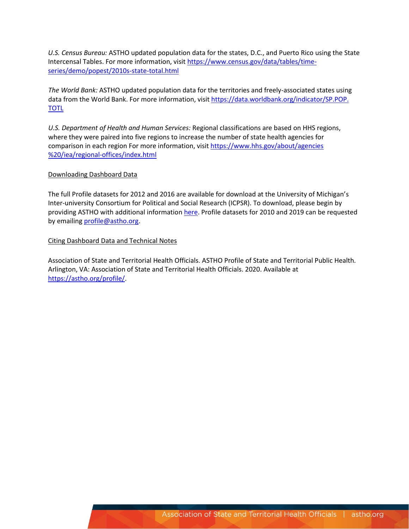*U.S. Census Bureau:* ASTHO updated population data for the states, D.C., and Puerto Rico using the State Intercensal Tables. For more information, visit [https://www.census.gov/data/tables/time](https://www.census.gov/data/tables/time-series/demo/popest/2010s-state-total.html)[series/demo/popest/2010s-state-total.html](https://www.census.gov/data/tables/time-series/demo/popest/2010s-state-total.html)

*The World Bank:* ASTHO updated population data for the territories and freely-associated states using data from the World Bank. For more information, visit [https://data.worldbank.org/indicator/SP.POP.](https://data.worldbank.org/indicator/SP.POP.%20TOTL) [TOTL](https://data.worldbank.org/indicator/SP.POP.%20TOTL)

*U.S. Department of Health and Human Services:* Regional classifications are based on HHS regions, where they were paired into five regions to increase the number of state health agencies for comparison in each region For more information, visit [https://www.hhs.gov/about/agencies](https://www.hhs.gov/about/agencies%20%20/iea/regional-offices/index.html) [%20/iea/regional-offices/index.html](https://www.hhs.gov/about/agencies%20%20/iea/regional-offices/index.html)

#### Downloading Dashboard Data

The full Profile datasets for 2012 and 2016 are available for download at the University of Michigan's Inter-university Consortium for Political and Social Research (ICPSR). To download, please begin by providing ASTHO with additional informatio[n here.](https://astho.az1.qualtrics.com/jfe/form/SV_3OZg7QATJ3Ccy8d) Profile datasets for 2010 and 2019 can be requested by emailing [profile@astho.org.](mailto:profile@astho.org)

#### Citing Dashboard Data and Technical Notes

Association of State and Territorial Health Officials. ASTHO Profile of State and Territorial Public Health. Arlington, VA: Association of State and Territorial Health Officials. 2020. Available at [https://astho.org/profile/.](https://astho.org/profile/)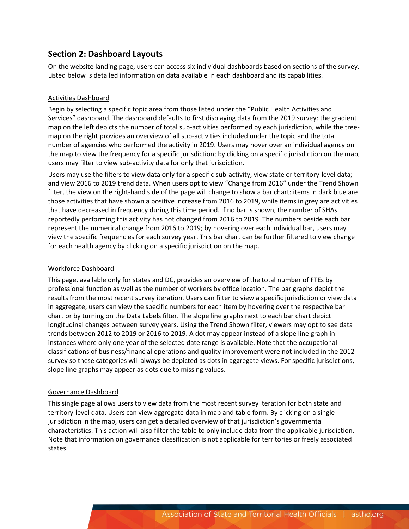# **Section 2: Dashboard Layouts**

On the website landing page, users can access six individual dashboards based on sections of the survey. Listed below is detailed information on data available in each dashboard and its capabilities.

### Activities Dashboard

Begin by selecting a specific topic area from those listed under the "Public Health Activities and Services" dashboard. The dashboard defaults to first displaying data from the 2019 survey: the gradient map on the left depicts the number of total sub-activities performed by each jurisdiction, while the treemap on the right provides an overview of all sub-activities included under the topic and the total number of agencies who performed the activity in 2019. Users may hover over an individual agency on the map to view the frequency for a specific jurisdiction; by clicking on a specific jurisdiction on the map, users may filter to view sub-activity data for only that jurisdiction.

Users may use the filters to view data only for a specific sub-activity; view state or territory-level data; and view 2016 to 2019 trend data. When users opt to view "Change from 2016" under the Trend Shown filter, the view on the right-hand side of the page will change to show a bar chart: items in dark blue are those activities that have shown a positive increase from 2016 to 2019, while items in grey are activities that have decreased in frequency during this time period. If no bar is shown, the number of SHAs reportedly performing this activity has not changed from 2016 to 2019. The numbers beside each bar represent the numerical change from 2016 to 2019; by hovering over each individual bar, users may view the specific frequencies for each survey year. This bar chart can be further filtered to view change for each health agency by clicking on a specific jurisdiction on the map.

### Workforce Dashboard

This page, available only for states and DC, provides an overview of the total number of FTEs by professional function as well as the number of workers by office location. The bar graphs depict the results from the most recent survey iteration. Users can filter to view a specific jurisdiction or view data in aggregate; users can view the specific numbers for each item by hovering over the respective bar chart or by turning on the Data Labels filter. The slope line graphs next to each bar chart depict longitudinal changes between survey years. Using the Trend Shown filter, viewers may opt to see data trends between 2012 to 2019 or 2016 to 2019. A dot may appear instead of a slope line graph in instances where only one year of the selected date range is available. Note that the occupational classifications of business/financial operations and quality improvement were not included in the 2012 survey so these categories will always be depicted as dots in aggregate views. For specific jurisdictions, slope line graphs may appear as dots due to missing values.

#### Governance Dashboard

This single page allows users to view data from the most recent survey iteration for both state and territory-level data. Users can view aggregate data in map and table form. By clicking on a single jurisdiction in the map, users can get a detailed overview of that jurisdiction's governmental characteristics. This action will also filter the table to only include data from the applicable jurisdiction. Note that information on governance classification is not applicable for territories or freely associated states.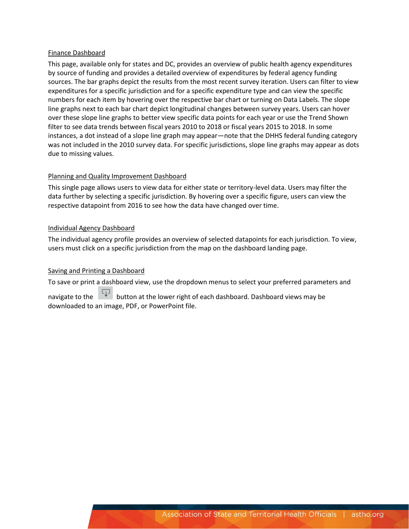#### Finance Dashboard

This page, available only for states and DC, provides an overview of public health agency expenditures by source of funding and provides a detailed overview of expenditures by federal agency funding sources. The bar graphs depict the results from the most recent survey iteration. Users can filter to view expenditures for a specific jurisdiction and for a specific expenditure type and can view the specific numbers for each item by hovering over the respective bar chart or turning on Data Labels. The slope line graphs next to each bar chart depict longitudinal changes between survey years. Users can hover over these slope line graphs to better view specific data points for each year or use the Trend Shown filter to see data trends between fiscal years 2010 to 2018 or fiscal years 2015 to 2018. In some instances, a dot instead of a slope line graph may appear—note that the DHHS federal funding category was not included in the 2010 survey data. For specific jurisdictions, slope line graphs may appear as dots due to missing values.

#### Planning and Quality Improvement Dashboard

This single page allows users to view data for either state or territory-level data. Users may filter the data further by selecting a specific jurisdiction. By hovering over a specific figure, users can view the respective datapoint from 2016 to see how the data have changed over time.

#### Individual Agency Dashboard

The individual agency profile provides an overview of selected datapoints for each jurisdiction. To view, users must click on a specific jurisdiction from the map on the dashboard landing page.

#### Saving and Printing a Dashboard

To save or print a dashboard view, use the dropdown menus to select your preferred parameters and

navigate to the **button at the lower right of each dashboard**. Dashboard views may be downloaded to an image, PDF, or PowerPoint file.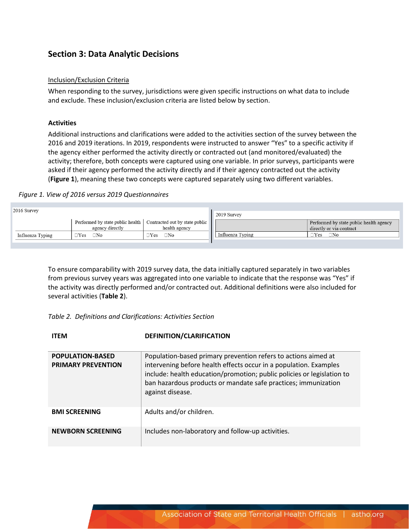## **Section 3: Data Analytic Decisions**

#### Inclusion/Exclusion Criteria

When responding to the survey, jurisdictions were given specific instructions on what data to include and exclude. These inclusion/exclusion criteria are listed below by section.

#### **Activities**

Additional instructions and clarifications were added to the activities section of the survey between the 2016 and 2019 iterations. In 2019, respondents were instructed to answer "Yes" to a specific activity if the agency either performed the activity directly or contracted out (and monitored/evaluated) the activity; therefore, both concepts were captured using one variable. In prior surveys, participants were asked if their agency performed the activity directly and if their agency contracted out the activity (**Figure 1**), meaning these two concepts were captured separately using two different variables.

#### *Figure 1. View of 2016 versus 2019 Questionnaires*

| 2016 Survey      |                                                     |                                                 | 2019 Survey      |                                                                     |
|------------------|-----------------------------------------------------|-------------------------------------------------|------------------|---------------------------------------------------------------------|
|                  | Performed by state public health<br>agency directly | Contracted out by state public<br>health agency |                  | Performed by state public health agency<br>directly or via contract |
| Influenza Typing | $\square$ No<br>'Yes                                | $\exists$ Yes<br>⊐No                            | Influenza Typing | $\sqsupset$ Yes<br>$\square$ No                                     |
|                  |                                                     |                                                 |                  |                                                                     |

To ensure comparability with 2019 survey data, the data initially captured separately in two variables from previous survey years was aggregated into one variable to indicate that the response was "Yes" if the activity was directly performed and/or contracted out. Additional definitions were also included for several activities (**Table 2**).

#### *Table 2. Definitions and Clarifications: Activities Section*

| <b>ITEM</b>                                          | DEFINITION/CLARIFICATION                                                                                                                                                                                                                                                                            |
|------------------------------------------------------|-----------------------------------------------------------------------------------------------------------------------------------------------------------------------------------------------------------------------------------------------------------------------------------------------------|
| <b>POPULATION-BASED</b><br><b>PRIMARY PREVENTION</b> | Population-based primary prevention refers to actions aimed at<br>intervening before health effects occur in a population. Examples<br>include: health education/promotion; public policies or legislation to<br>ban hazardous products or mandate safe practices; immunization<br>against disease. |
| <b>BMI SCREENING</b>                                 | Adults and/or children.                                                                                                                                                                                                                                                                             |
| <b>NEWBORN SCREENING</b>                             | Includes non-laboratory and follow-up activities.                                                                                                                                                                                                                                                   |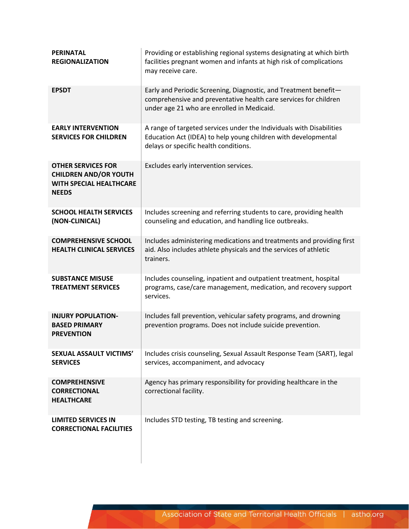| <b>PERINATAL</b><br><b>REGIONALIZATION</b>                                                                  | Providing or establishing regional systems designating at which birth<br>facilities pregnant women and infants at high risk of complications<br>may receive care.                  |
|-------------------------------------------------------------------------------------------------------------|------------------------------------------------------------------------------------------------------------------------------------------------------------------------------------|
| <b>EPSDT</b>                                                                                                | Early and Periodic Screening, Diagnostic, and Treatment benefit-<br>comprehensive and preventative health care services for children<br>under age 21 who are enrolled in Medicaid. |
| <b>EARLY INTERVENTION</b><br><b>SERVICES FOR CHILDREN</b>                                                   | A range of targeted services under the Individuals with Disabilities<br>Education Act (IDEA) to help young children with developmental<br>delays or specific health conditions.    |
| <b>OTHER SERVICES FOR</b><br><b>CHILDREN AND/OR YOUTH</b><br><b>WITH SPECIAL HEALTHCARE</b><br><b>NEEDS</b> | Excludes early intervention services.                                                                                                                                              |
| <b>SCHOOL HEALTH SERVICES</b><br>(NON-CLINICAL)                                                             | Includes screening and referring students to care, providing health<br>counseling and education, and handling lice outbreaks.                                                      |
| <b>COMPREHENSIVE SCHOOL</b><br><b>HEALTH CLINICAL SERVICES</b>                                              | Includes administering medications and treatments and providing first<br>aid. Also includes athlete physicals and the services of athletic<br>trainers.                            |
| <b>SUBSTANCE MISUSE</b><br><b>TREATMENT SERVICES</b>                                                        | Includes counseling, inpatient and outpatient treatment, hospital<br>programs, case/care management, medication, and recovery support<br>services.                                 |
| <b>INJURY POPULATION-</b><br><b>BASED PRIMARY</b><br><b>PREVENTION</b>                                      | Includes fall prevention, vehicular safety programs, and drowning<br>prevention programs. Does not include suicide prevention.                                                     |
| SEXUAL ASSAULT VICTIMS'<br><b>SERVICES</b>                                                                  | Includes crisis counseling, Sexual Assault Response Team (SART), legal<br>services, accompaniment, and advocacy                                                                    |
| <b>COMPREHENSIVE</b><br><b>CORRECTIONAL</b><br><b>HEALTHCARE</b>                                            | Agency has primary responsibility for providing healthcare in the<br>correctional facility.                                                                                        |
| <b>LIMITED SERVICES IN</b><br><b>CORRECTIONAL FACILITIES</b>                                                | Includes STD testing, TB testing and screening.                                                                                                                                    |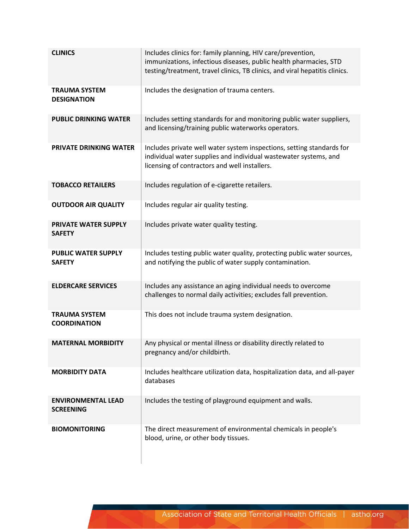| <b>CLINICS</b>                                | Includes clinics for: family planning, HIV care/prevention,<br>immunizations, infectious diseases, public health pharmacies, STD<br>testing/treatment, travel clinics, TB clinics, and viral hepatitis clinics. |
|-----------------------------------------------|-----------------------------------------------------------------------------------------------------------------------------------------------------------------------------------------------------------------|
| <b>TRAUMA SYSTEM</b><br><b>DESIGNATION</b>    | Includes the designation of trauma centers.                                                                                                                                                                     |
| <b>PUBLIC DRINKING WATER</b>                  | Includes setting standards for and monitoring public water suppliers,<br>and licensing/training public waterworks operators.                                                                                    |
| PRIVATE DRINKING WATER                        | Includes private well water system inspections, setting standards for<br>individual water supplies and individual wastewater systems, and<br>licensing of contractors and well installers.                      |
| <b>TOBACCO RETAILERS</b>                      | Includes regulation of e-cigarette retailers.                                                                                                                                                                   |
| <b>OUTDOOR AIR QUALITY</b>                    | Includes regular air quality testing.                                                                                                                                                                           |
| PRIVATE WATER SUPPLY<br><b>SAFETY</b>         | Includes private water quality testing.                                                                                                                                                                         |
| <b>PUBLIC WATER SUPPLY</b><br><b>SAFETY</b>   | Includes testing public water quality, protecting public water sources,<br>and notifying the public of water supply contamination.                                                                              |
| <b>ELDERCARE SERVICES</b>                     | Includes any assistance an aging individual needs to overcome<br>challenges to normal daily activities; excludes fall prevention.                                                                               |
| <b>TRAUMA SYSTEM</b><br><b>COORDINATION</b>   | This does not include trauma system designation.                                                                                                                                                                |
| <b>MATERNAL MORBIDITY</b>                     | Any physical or mental illness or disability directly related to<br>pregnancy and/or childbirth.                                                                                                                |
| <b>MORBIDITY DATA</b>                         | Includes healthcare utilization data, hospitalization data, and all-payer<br>databases                                                                                                                          |
| <b>ENVIRONMENTAL LEAD</b><br><b>SCREENING</b> | Includes the testing of playground equipment and walls.                                                                                                                                                         |
| <b>BIOMONITORING</b>                          | The direct measurement of environmental chemicals in people's<br>blood, urine, or other body tissues.                                                                                                           |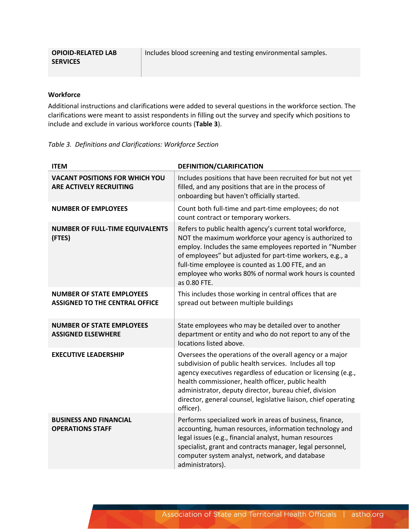| <b>OPIOID-RELATED LAB</b> | Includes blood screening and testing environmental samples. |
|---------------------------|-------------------------------------------------------------|
| <b>SERVICES</b>           |                                                             |

#### **Workforce**

Additional instructions and clarifications were added to several questions in the workforce section. The clarifications were meant to assist respondents in filling out the survey and specify which positions to include and exclude in various workforce counts (**Table 3**).

*Table 3. Definitions and Clarifications: Workforce Section*

| <b>ITEM</b>                                                               | DEFINITION/CLARIFICATION                                                                                                                                                                                                                                                                                                                                                             |
|---------------------------------------------------------------------------|--------------------------------------------------------------------------------------------------------------------------------------------------------------------------------------------------------------------------------------------------------------------------------------------------------------------------------------------------------------------------------------|
| <b>VACANT POSITIONS FOR WHICH YOU</b><br><b>ARE ACTIVELY RECRUITING</b>   | Includes positions that have been recruited for but not yet<br>filled, and any positions that are in the process of<br>onboarding but haven't officially started.                                                                                                                                                                                                                    |
| <b>NUMBER OF EMPLOYEES</b>                                                | Count both full-time and part-time employees; do not<br>count contract or temporary workers.                                                                                                                                                                                                                                                                                         |
| <b>NUMBER OF FULL-TIME EQUIVALENTS</b><br>(FTES)                          | Refers to public health agency's current total workforce,<br>NOT the maximum workforce your agency is authorized to<br>employ. Includes the same employees reported in "Number<br>of employees" but adjusted for part-time workers, e.g., a<br>full-time employee is counted as 1.00 FTE, and an<br>employee who works 80% of normal work hours is counted<br>as 0.80 FTE.           |
| <b>NUMBER OF STATE EMPLOYEES</b><br><b>ASSIGNED TO THE CENTRAL OFFICE</b> | This includes those working in central offices that are<br>spread out between multiple buildings                                                                                                                                                                                                                                                                                     |
| <b>NUMBER OF STATE EMPLOYEES</b><br><b>ASSIGNED ELSEWHERE</b>             | State employees who may be detailed over to another<br>department or entity and who do not report to any of the<br>locations listed above.                                                                                                                                                                                                                                           |
| <b>EXECUTIVE LEADERSHIP</b>                                               | Oversees the operations of the overall agency or a major<br>subdivision of public health services. Includes all top<br>agency executives regardless of education or licensing (e.g.,<br>health commissioner, health officer, public health<br>administrator, deputy director, bureau chief, division<br>director, general counsel, legislative liaison, chief operating<br>officer). |
| <b>BUSINESS AND FINANCIAL</b><br><b>OPERATIONS STAFF</b>                  | Performs specialized work in areas of business, finance,<br>accounting, human resources, information technology and<br>legal issues (e.g., financial analyst, human resources<br>specialist, grant and contracts manager, legal personnel,<br>computer system analyst, network, and database<br>administrators).                                                                     |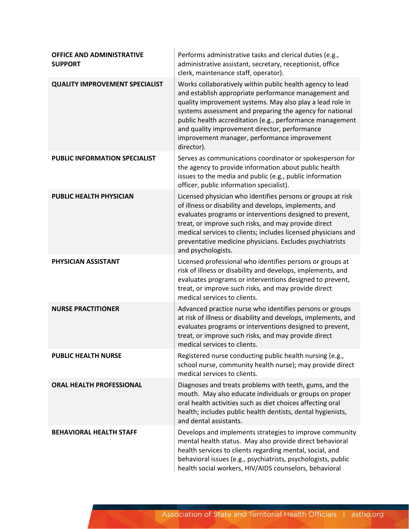| <b>OFFICE AND ADMINISTRATIVE</b><br><b>SUPPORT</b> | Performs administrative tasks and clerical duties (e.g.,<br>administrative assistant, secretary, receptionist, office<br>clerk, maintenance staff, operator).                                                                                                                                                                                                                                                          |
|----------------------------------------------------|------------------------------------------------------------------------------------------------------------------------------------------------------------------------------------------------------------------------------------------------------------------------------------------------------------------------------------------------------------------------------------------------------------------------|
| <b>QUALITY IMPROVEMENT SPECIALIST</b>              | Works collaboratively within public health agency to lead<br>and establish appropriate performance management and<br>quality improvement systems. May also play a lead role in<br>systems assessment and preparing the agency for national<br>public health accreditation (e.g., performance management<br>and quality improvement director, performance<br>improvement manager, performance improvement<br>director). |
| <b>PUBLIC INFORMATION SPECIALIST</b>               | Serves as communications coordinator or spokesperson for<br>the agency to provide information about public health<br>issues to the media and public (e.g., public information<br>officer, public information specialist).                                                                                                                                                                                              |
| <b>PUBLIC HEALTH PHYSICIAN</b>                     | Licensed physician who identifies persons or groups at risk<br>of illness or disability and develops, implements, and<br>evaluates programs or interventions designed to prevent,<br>treat, or improve such risks, and may provide direct<br>medical services to clients; includes licensed physicians and<br>preventative medicine physicians. Excludes psychiatrists<br>and psychologists.                           |
| PHYSICIAN ASSISTANT                                | Licensed professional who identifies persons or groups at<br>risk of illness or disability and develops, implements, and<br>evaluates programs or interventions designed to prevent,<br>treat, or improve such risks, and may provide direct<br>medical services to clients.                                                                                                                                           |
| <b>NURSE PRACTITIONER</b>                          | Advanced practice nurse who identifies persons or groups<br>at risk of illness or disability and develops, implements, and<br>evaluates programs or interventions designed to prevent,<br>treat, or improve such risks, and may provide direct<br>medical services to clients.                                                                                                                                         |
| <b>PUBLIC HEALTH NURSE</b>                         | Registered nurse conducting public health nursing (e.g.,<br>school nurse, community health nurse); may provide direct<br>medical services to clients.                                                                                                                                                                                                                                                                  |
| <b>ORAL HEALTH PROFESSIONAL</b>                    | Diagnoses and treats problems with teeth, gums, and the<br>mouth. May also educate individuals or groups on proper<br>oral health activities such as diet choices affecting oral<br>health; includes public health dentists, dental hygienists,<br>and dental assistants.                                                                                                                                              |
| <b>BEHAVIORAL HEALTH STAFF</b>                     | Develops and implements strategies to improve community<br>mental health status. May also provide direct behavioral<br>health services to clients regarding mental, social, and<br>behavioral issues (e.g., psychiatrists, psychologists, public<br>health social workers, HIV/AIDS counselors, behavioral                                                                                                             |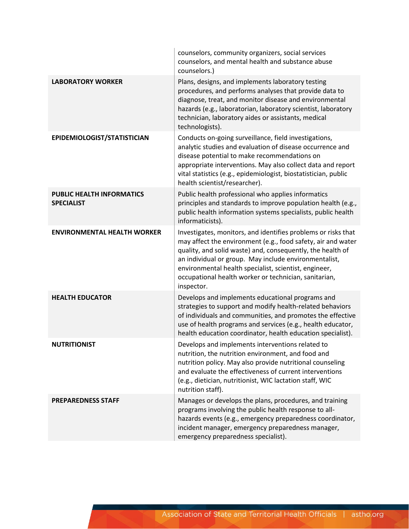|                                                       | counselors, community organizers, social services<br>counselors, and mental health and substance abuse<br>counselors.)                                                                                                                                                                                                                                                               |
|-------------------------------------------------------|--------------------------------------------------------------------------------------------------------------------------------------------------------------------------------------------------------------------------------------------------------------------------------------------------------------------------------------------------------------------------------------|
| <b>LABORATORY WORKER</b>                              | Plans, designs, and implements laboratory testing<br>procedures, and performs analyses that provide data to<br>diagnose, treat, and monitor disease and environmental<br>hazards (e.g., laboratorian, laboratory scientist, laboratory<br>technician, laboratory aides or assistants, medical<br>technologists).                                                                     |
| EPIDEMIOLOGIST/STATISTICIAN                           | Conducts on-going surveillance, field investigations,<br>analytic studies and evaluation of disease occurrence and<br>disease potential to make recommendations on<br>appropriate interventions. May also collect data and report<br>vital statistics (e.g., epidemiologist, biostatistician, public<br>health scientist/researcher).                                                |
| <b>PUBLIC HEALTH INFORMATICS</b><br><b>SPECIALIST</b> | Public health professional who applies informatics<br>principles and standards to improve population health (e.g.,<br>public health information systems specialists, public health<br>informaticists).                                                                                                                                                                               |
| <b>ENVIRONMENTAL HEALTH WORKER</b>                    | Investigates, monitors, and identifies problems or risks that<br>may affect the environment (e.g., food safety, air and water<br>quality, and solid waste) and, consequently, the health of<br>an individual or group. May include environmentalist,<br>environmental health specialist, scientist, engineer,<br>occupational health worker or technician, sanitarian,<br>inspector. |
| <b>HEALTH EDUCATOR</b>                                | Develops and implements educational programs and<br>strategies to support and modify health-related behaviors<br>of individuals and communities, and promotes the effective<br>use of health programs and services (e.g., health educator,<br>health education coordinator, health education specialist).                                                                            |
| <b>NUTRITIONIST</b>                                   | Develops and implements interventions related to<br>nutrition, the nutrition environment, and food and<br>nutrition policy. May also provide nutritional counseling<br>and evaluate the effectiveness of current interventions<br>(e.g., dietician, nutritionist, WIC lactation staff, WIC<br>nutrition staff).                                                                      |
| <b>PREPAREDNESS STAFF</b>                             | Manages or develops the plans, procedures, and training<br>programs involving the public health response to all-<br>hazards events (e.g., emergency preparedness coordinator,<br>incident manager, emergency preparedness manager,<br>emergency preparedness specialist).                                                                                                            |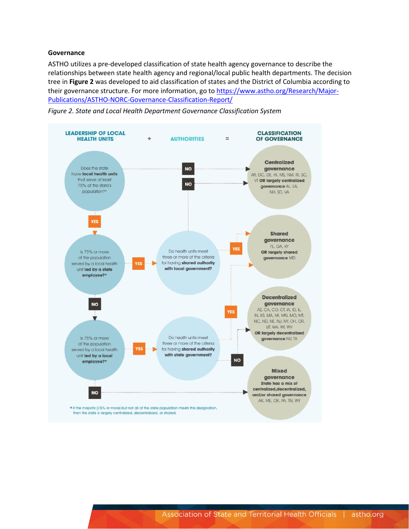#### **Governance**

ASTHO utilizes a pre-developed classification of state health agency governance to describe the relationships between state health agency and regional/local public health departments. The decision tree in **Figure 2** was developed to aid classification of states and the District of Columbia according to their governance structure. For more information, go to [https://www.astho.org/Research/Major-](https://www.astho.org/Research/Major-Publications/ASTHO-NORC-Governance-Classification-Report/)[Publications/ASTHO-NORC-Governance-Classification-Report/](https://www.astho.org/Research/Major-Publications/ASTHO-NORC-Governance-Classification-Report/)



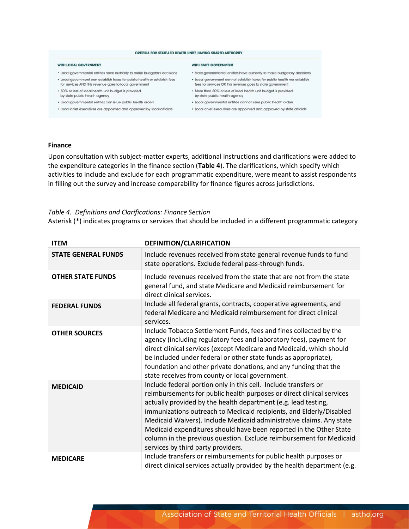#### CRITERIA FOR STATE-LED HEALTH UNITS HAVING SHARED AUTHORITY

#### WITH LOCAL GOVERNMENT

- 
- . Local government can establish taxes for public health or establish for states to public health nor establish
- for services AND this revenue goes to local government . 50% or less of local health unit budget is provided
- by state public health agency
- · Local governmental entities can issue public health orders
- . Local chief executives are appointed and approved by local officials

#### WITH STATE GOVERNMENT

- . Local governmental entities have authority to make budgetary decisions . State governmental entities have authority to make budgetary decisions
	- fees for services OR this revenue goes to state government
	- . More than 50% or less of local health unit budget is provided
		- by state public health agency
	- · Local governmental entities cannot issue public health orders
	- . Local chief executives are appointed and approved by state officials

#### **Finance**

Upon consultation with subject-matter experts, additional instructions and clarifications were added to the expenditure categories in the finance section (**Table 4**). The clarifications, which specify which activities to include and exclude for each programmatic expenditure, were meant to assist respondents in filling out the survey and increase comparability for finance figures across jurisdictions.

#### *Table 4. Definitions and Clarifications: Finance Section*

Asterisk (\*) indicates programs or services that should be included in a different programmatic category

| <b>ITEM</b>                | DEFINITION/CLARIFICATION                                                                                                                                                                                                                                                                                                                                                                                                                                                                                                                     |
|----------------------------|----------------------------------------------------------------------------------------------------------------------------------------------------------------------------------------------------------------------------------------------------------------------------------------------------------------------------------------------------------------------------------------------------------------------------------------------------------------------------------------------------------------------------------------------|
| <b>STATE GENERAL FUNDS</b> | Include revenues received from state general revenue funds to fund<br>state operations. Exclude federal pass-through funds.                                                                                                                                                                                                                                                                                                                                                                                                                  |
| <b>OTHER STATE FUNDS</b>   | Include revenues received from the state that are not from the state<br>general fund, and state Medicare and Medicaid reimbursement for<br>direct clinical services.                                                                                                                                                                                                                                                                                                                                                                         |
| <b>FEDERAL FUNDS</b>       | Include all federal grants, contracts, cooperative agreements, and<br>federal Medicare and Medicaid reimbursement for direct clinical<br>services.                                                                                                                                                                                                                                                                                                                                                                                           |
| <b>OTHER SOURCES</b>       | Include Tobacco Settlement Funds, fees and fines collected by the<br>agency (including regulatory fees and laboratory fees), payment for<br>direct clinical services (except Medicare and Medicaid, which should<br>be included under federal or other state funds as appropriate),<br>foundation and other private donations, and any funding that the<br>state receives from county or local government.                                                                                                                                   |
| <b>MEDICAID</b>            | Include federal portion only in this cell. Include transfers or<br>reimbursements for public health purposes or direct clinical services<br>actually provided by the health department (e.g. lead testing,<br>immunizations outreach to Medicaid recipients, and Elderly/Disabled<br>Medicaid Waivers). Include Medicaid administrative claims. Any state<br>Medicaid expenditures should have been reported in the Other State<br>column in the previous question. Exclude reimbursement for Medicaid<br>services by third party providers. |
| <b>MEDICARE</b>            | Include transfers or reimbursements for public health purposes or<br>direct clinical services actually provided by the health department (e.g.                                                                                                                                                                                                                                                                                                                                                                                               |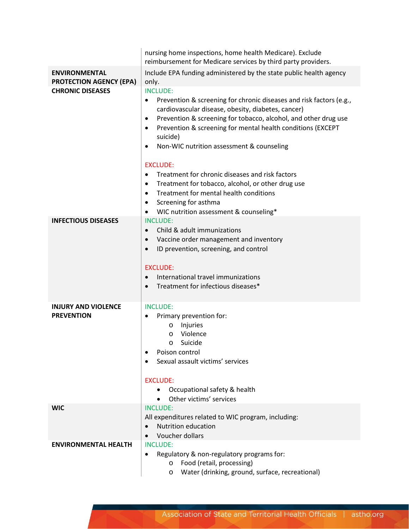|                                                        | nursing home inspections, home health Medicare). Exclude<br>reimbursement for Medicare services by third party providers.                                                                                                                                                                                                                                                                                                                                                                                                                                                                                                                                   |
|--------------------------------------------------------|-------------------------------------------------------------------------------------------------------------------------------------------------------------------------------------------------------------------------------------------------------------------------------------------------------------------------------------------------------------------------------------------------------------------------------------------------------------------------------------------------------------------------------------------------------------------------------------------------------------------------------------------------------------|
| <b>ENVIRONMENTAL</b><br><b>PROTECTION AGENCY (EPA)</b> | Include EPA funding administered by the state public health agency<br>only.                                                                                                                                                                                                                                                                                                                                                                                                                                                                                                                                                                                 |
| <b>CHRONIC DISEASES</b>                                | <b>INCLUDE:</b><br>Prevention & screening for chronic diseases and risk factors (e.g.,<br>$\bullet$<br>cardiovascular disease, obesity, diabetes, cancer)<br>Prevention & screening for tobacco, alcohol, and other drug use<br>٠<br>Prevention & screening for mental health conditions (EXCEPT<br>$\bullet$<br>suicide)<br>Non-WIC nutrition assessment & counseling<br>٠<br><b>EXCLUDE:</b><br>Treatment for chronic diseases and risk factors<br>$\bullet$<br>Treatment for tobacco, alcohol, or other drug use<br>٠<br>Treatment for mental health conditions<br>$\bullet$<br>Screening for asthma<br>٠<br>WIC nutrition assessment & counseling*<br>٠ |
| <b>INFECTIOUS DISEASES</b>                             | <b>INCLUDE:</b><br>Child & adult immunizations<br>$\bullet$<br>Vaccine order management and inventory<br>$\bullet$<br>ID prevention, screening, and control<br>$\bullet$<br><b>EXCLUDE:</b><br>International travel immunizations<br>$\bullet$<br>Treatment for infectious diseases*                                                                                                                                                                                                                                                                                                                                                                        |
| <b>INJURY AND VIOLENCE</b><br><b>PREVENTION</b>        | <b>INCLUDE:</b><br>Primary prevention for:<br>$\bullet$<br>Injuries<br>$\circ$<br>Violence<br>$\circ$<br>Suicide<br>$\circ$<br>Poison control<br>٠<br>Sexual assault victims' services<br><b>EXCLUDE:</b><br>Occupational safety & health<br>$\bullet$<br>Other victims' services                                                                                                                                                                                                                                                                                                                                                                           |
| <b>WIC</b>                                             | <b>INCLUDE:</b><br>All expenditures related to WIC program, including:<br>Nutrition education<br>Voucher dollars                                                                                                                                                                                                                                                                                                                                                                                                                                                                                                                                            |
| <b>ENVIRONMENTAL HEALTH</b>                            | <b>INCLUDE:</b><br>Regulatory & non-regulatory programs for:<br>Food (retail, processing)<br>$\circ$<br>Water (drinking, ground, surface, recreational)<br>$\circ$                                                                                                                                                                                                                                                                                                                                                                                                                                                                                          |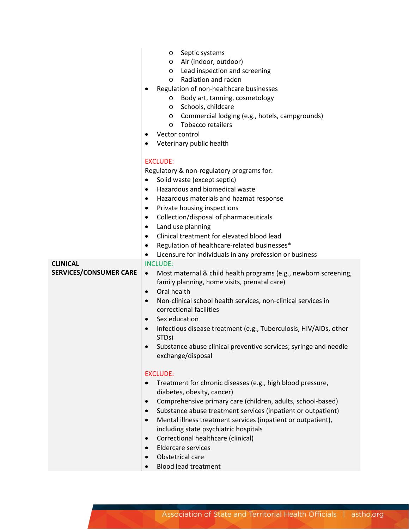|                                                  | Septic systems<br>$\circ$<br>Air (indoor, outdoor)<br>$\circ$<br>o Lead inspection and screening<br>Radiation and radon<br>$\circ$<br>Regulation of non-healthcare businesses<br>Body art, tanning, cosmetology<br>O<br>Schools, childcare<br>$\circ$<br>o Commercial lodging (e.g., hotels, campgrounds)<br>Tobacco retailers<br>$\circ$<br>Vector control<br>Veterinary public health<br>$\bullet$                                                                                                                                                                              |
|--------------------------------------------------|-----------------------------------------------------------------------------------------------------------------------------------------------------------------------------------------------------------------------------------------------------------------------------------------------------------------------------------------------------------------------------------------------------------------------------------------------------------------------------------------------------------------------------------------------------------------------------------|
|                                                  | <b>EXCLUDE:</b><br>Regulatory & non-regulatory programs for:<br>Solid waste (except septic)<br>$\bullet$<br>Hazardous and biomedical waste<br>$\bullet$<br>Hazardous materials and hazmat response<br>٠<br>Private housing inspections<br>٠<br>Collection/disposal of pharmaceuticals<br>٠<br>Land use planning<br>٠<br>Clinical treatment for elevated blood lead<br>$\bullet$<br>Regulation of healthcare-related businesses*<br>$\bullet$<br>Licensure for individuals in any profession or business<br>$\bullet$                                                              |
| <b>CLINICAL</b><br><b>SERVICES/CONSUMER CARE</b> | <b>INCLUDE:</b><br>Most maternal & child health programs (e.g., newborn screening,<br>$\bullet$<br>family planning, home visits, prenatal care)<br>Oral health<br>$\bullet$<br>Non-clinical school health services, non-clinical services in<br>$\bullet$<br>correctional facilities<br>Sex education<br>$\bullet$<br>Infectious disease treatment (e.g., Tuberculosis, HIV/AIDs, other<br>$\bullet$<br>STD <sub>s</sub> )<br>Substance abuse clinical preventive services; syringe and needle<br>$\bullet$<br>exchange/disposal                                                  |
|                                                  | <b>EXCLUDE:</b><br>Treatment for chronic diseases (e.g., high blood pressure,<br>$\bullet$<br>diabetes, obesity, cancer)<br>Comprehensive primary care (children, adults, school-based)<br>$\bullet$<br>Substance abuse treatment services (inpatient or outpatient)<br>$\bullet$<br>Mental illness treatment services (inpatient or outpatient),<br>$\bullet$<br>including state psychiatric hospitals<br>Correctional healthcare (clinical)<br>$\bullet$<br><b>Eldercare services</b><br>$\bullet$<br>Obstetrical care<br>$\bullet$<br><b>Blood lead treatment</b><br>$\bullet$ |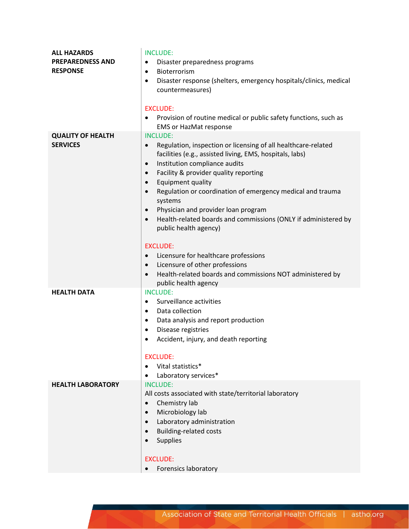| <b>ALL HAZARDS</b>       | <b>INCLUDE:</b>                                                                                        |
|--------------------------|--------------------------------------------------------------------------------------------------------|
| <b>PREPAREDNESS AND</b>  | Disaster preparedness programs<br>$\bullet$                                                            |
| <b>RESPONSE</b>          | Bioterrorism<br>$\bullet$                                                                              |
|                          | Disaster response (shelters, emergency hospitals/clinics, medical<br>$\bullet$                         |
|                          | countermeasures)                                                                                       |
|                          |                                                                                                        |
|                          | <b>EXCLUDE:</b>                                                                                        |
|                          | Provision of routine medical or public safety functions, such as<br>$\bullet$                          |
|                          | <b>EMS or HazMat response</b>                                                                          |
| <b>QUALITY OF HEALTH</b> | <b>INCLUDE:</b>                                                                                        |
| <b>SERVICES</b>          | Regulation, inspection or licensing of all healthcare-related<br>$\bullet$                             |
|                          | facilities (e.g., assisted living, EMS, hospitals, labs)<br>Institution compliance audits<br>$\bullet$ |
|                          | Facility & provider quality reporting<br>$\bullet$                                                     |
|                          | Equipment quality<br>$\bullet$                                                                         |
|                          | Regulation or coordination of emergency medical and trauma<br>$\bullet$                                |
|                          | systems                                                                                                |
|                          | Physician and provider loan program<br>$\bullet$                                                       |
|                          | Health-related boards and commissions (ONLY if administered by<br>$\bullet$                            |
|                          | public health agency)                                                                                  |
|                          |                                                                                                        |
|                          | <b>EXCLUDE:</b>                                                                                        |
|                          | Licensure for healthcare professions<br>$\bullet$                                                      |
|                          | Licensure of other professions<br>$\bullet$                                                            |
|                          | Health-related boards and commissions NOT administered by<br>$\bullet$<br>public health agency         |
| <b>HEALTH DATA</b>       | <b>INCLUDE:</b>                                                                                        |
|                          | Surveillance activities<br>$\bullet$                                                                   |
|                          | Data collection<br>$\bullet$                                                                           |
|                          | Data analysis and report production<br>٠                                                               |
|                          | Disease registries<br>$\bullet$                                                                        |
|                          | Accident, injury, and death reporting<br>$\bullet$                                                     |
|                          |                                                                                                        |
|                          | <b>EXCLUDE:</b>                                                                                        |
|                          | Vital statistics*<br>$\bullet$                                                                         |
|                          | Laboratory services*<br>$\bullet$                                                                      |
| <b>HEALTH LABORATORY</b> | <b>INCLUDE:</b><br>All costs associated with state/territorial laboratory                              |
|                          | Chemistry lab<br>$\bullet$                                                                             |
|                          | Microbiology lab<br>$\bullet$                                                                          |
|                          | Laboratory administration<br>$\bullet$                                                                 |
|                          | <b>Building-related costs</b>                                                                          |
|                          | Supplies                                                                                               |
|                          |                                                                                                        |
|                          | <b>EXCLUDE:</b>                                                                                        |
|                          | Forensics laboratory                                                                                   |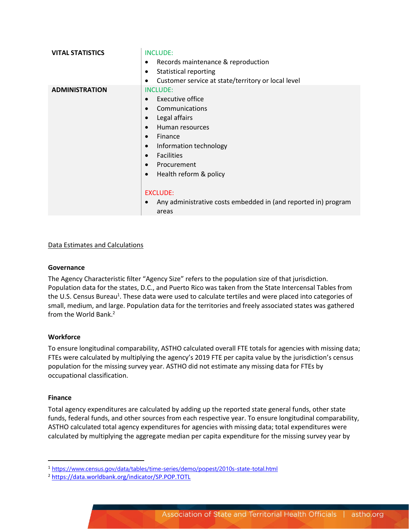| <b>VITAL STATISTICS</b> | <b>INCLUDE:</b><br>Records maintenance & reproduction<br>$\bullet$<br><b>Statistical reporting</b><br>$\bullet$<br>Customer service at state/territory or local level<br>٠                                                                                                                                                                                                                                                   |
|-------------------------|------------------------------------------------------------------------------------------------------------------------------------------------------------------------------------------------------------------------------------------------------------------------------------------------------------------------------------------------------------------------------------------------------------------------------|
| <b>ADMINISTRATION</b>   | <b>INCLUDE:</b><br>Executive office<br>$\bullet$<br>Communications<br>$\bullet$<br>Legal affairs<br>$\bullet$<br>Human resources<br>$\bullet$<br>Finance<br>$\bullet$<br>Information technology<br>$\bullet$<br><b>Facilities</b><br>$\bullet$<br>Procurement<br>$\bullet$<br>Health reform & policy<br>$\bullet$<br><b>EXCLUDE:</b><br>Any administrative costs embedded in (and reported in) program<br>$\bullet$<br>areas |

#### Data Estimates and Calculations

#### **Governance**

The Agency Characteristic filter "Agency Size" refers to the population size of that jurisdiction. Population data for the states, D.C., and Puerto Rico was taken from the State Intercensal Tables from the U.S. Census Bureau<sup>1</sup>. These data were used to calculate tertiles and were placed into categories of small, medium, and large. Population data for the territories and freely associated states was gathered from the World Bank.<sup>2</sup>

#### **Workforce**

To ensure longitudinal comparability, ASTHO calculated overall FTE totals for agencies with missing data; FTEs were calculated by multiplying the agency's 2019 FTE per capita value by the jurisdiction's census population for the missing survey year. ASTHO did not estimate any missing data for FTEs by occupational classification.

#### **Finance**

Total agency expenditures are calculated by adding up the reported state general funds, other state funds, federal funds, and other sources from each respective year. To ensure longitudinal comparability, ASTHO calculated total agency expenditures for agencies with missing data; total expenditures were calculated by multiplying the aggregate median per capita expenditure for the missing survey year by

<sup>1</sup> <https://www.census.gov/data/tables/time-series/demo/popest/2010s-state-total.html>

<sup>2</sup> <https://data.worldbank.org/indicator/SP.POP.TOTL>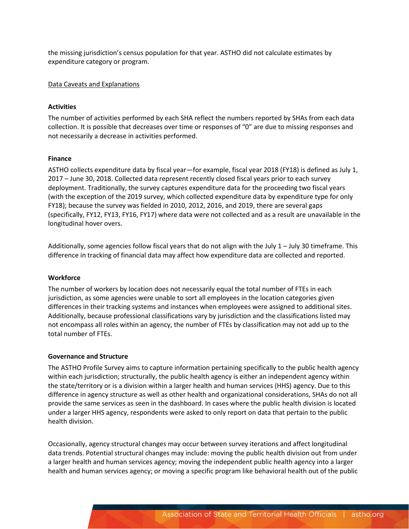the missing jurisdiction's census population for that year. ASTHO did not calculate estimates by expenditure category or program.

#### Data Caveats and Explanations

#### **Activities**

The number of activities performed by each SHA reflect the numbers reported by SHAs from each data collection. It is possible that decreases over time or responses of "0" are due to missing responses and not necessarily a decrease in activities performed.

#### **Finance**

ASTHO collects expenditure data by fiscal year—for example, fiscal year 2018 (FY18) is defined as July 1, 2017 – June 30, 2018. Collected data represent recently closed fiscal years prior to each survey deployment. Traditionally, the survey captures expenditure data for the proceeding two fiscal years (with the exception of the 2019 survey, which collected expenditure data by expenditure type for only FY18); because the survey was fielded in 2010, 2012, 2016, and 2019, there are several gaps (specifically, FY12, FY13, FY16, FY17) where data were not collected and as a result are unavailable in the longitudinal hover overs.

Additionally, some agencies follow fiscal years that do not align with the July 1 – July 30 timeframe. This difference in tracking of financial data may affect how expenditure data are collected and reported.

#### **Workforce**

The number of workers by location does not necessarily equal the total number of FTEs in each jurisdiction, as some agencies were unable to sort all employees in the location categories given differences in their tracking systems and instances when employees were assigned to additional sites. Additionally, because professional classifications vary by jurisdiction and the classifications listed may not encompass all roles within an agency, the number of FTEs by classification may not add up to the total number of FTEs.

#### **Governance and Structure**

The ASTHO Profile Survey aims to capture information pertaining specifically to the public health agency within each jurisdiction; structurally, the public health agency is either an independent agency within the state/territory or is a division within a larger health and human services (HHS) agency. Due to this difference in agency structure as well as other health and organizational considerations, SHAs do not all provide the same services as seen in the dashboard. In cases where the public health division is located under a larger HHS agency, respondents were asked to only report on data that pertain to the public health division.

Occasionally, agency structural changes may occur between survey iterations and affect longitudinal data trends. Potential structural changes may include: moving the public health division out from under a larger health and human services agency; moving the independent public health agency into a larger health and human services agency; or moving a specific program like behavioral health out of the public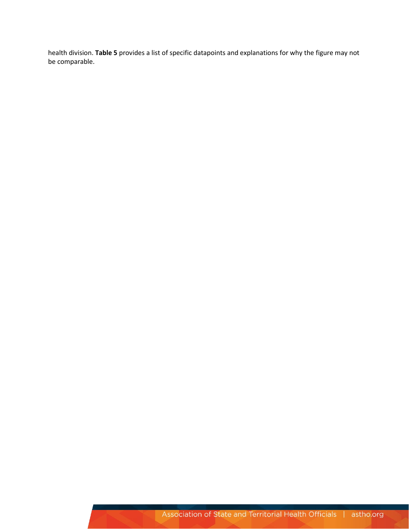health division. **Table 5** provides a list of specific datapoints and explanations for why the figure may not be comparable.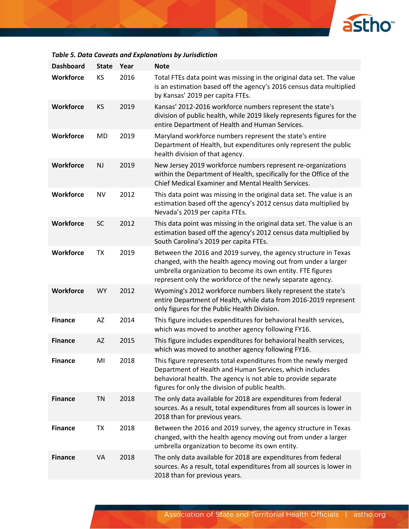

### *Table 5. Data Caveats and Explanations by Jurisdiction*

| <b>Dashboard</b> | <b>State</b> | Year | <b>Note</b>                                                                                                                                                                                                                                                    |
|------------------|--------------|------|----------------------------------------------------------------------------------------------------------------------------------------------------------------------------------------------------------------------------------------------------------------|
| <b>Workforce</b> | KS           | 2016 | Total FTEs data point was missing in the original data set. The value<br>is an estimation based off the agency's 2016 census data multiplied<br>by Kansas' 2019 per capita FTEs.                                                                               |
| <b>Workforce</b> | KS           | 2019 | Kansas' 2012-2016 workforce numbers represent the state's<br>division of public health, while 2019 likely represents figures for the<br>entire Department of Health and Human Services.                                                                        |
| Workforce        | <b>MD</b>    | 2019 | Maryland workforce numbers represent the state's entire<br>Department of Health, but expenditures only represent the public<br>health division of that agency.                                                                                                 |
| <b>Workforce</b> | <b>NJ</b>    | 2019 | New Jersey 2019 workforce numbers represent re-organizations<br>within the Department of Health, specifically for the Office of the<br>Chief Medical Examiner and Mental Health Services.                                                                      |
| Workforce        | <b>NV</b>    | 2012 | This data point was missing in the original data set. The value is an<br>estimation based off the agency's 2012 census data multiplied by<br>Nevada's 2019 per capita FTEs.                                                                                    |
| Workforce        | <b>SC</b>    | 2012 | This data point was missing in the original data set. The value is an<br>estimation based off the agency's 2012 census data multiplied by<br>South Carolina's 2019 per capita FTEs.                                                                            |
| Workforce        | <b>TX</b>    | 2019 | Between the 2016 and 2019 survey, the agency structure in Texas<br>changed, with the health agency moving out from under a larger<br>umbrella organization to become its own entity. FTE figures<br>represent only the workforce of the newly separate agency. |
| <b>Workforce</b> | <b>WY</b>    | 2012 | Wyoming's 2012 workforce numbers likely represent the state's<br>entire Department of Health, while data from 2016-2019 represent<br>only figures for the Public Health Division.                                                                              |
| <b>Finance</b>   | AZ           | 2014 | This figure includes expenditures for behavioral health services,<br>which was moved to another agency following FY16.                                                                                                                                         |
| <b>Finance</b>   | AZ           | 2015 | This figure includes expenditures for behavioral health services,<br>which was moved to another agency following FY16.                                                                                                                                         |
| <b>Finance</b>   | MI           | 2018 | This figure represents total expenditures from the newly merged<br>Department of Health and Human Services, which includes<br>behavioral health. The agency is not able to provide separate<br>figures for only the division of public health.                 |
| <b>Finance</b>   | <b>TN</b>    | 2018 | The only data available for 2018 are expenditures from federal<br>sources. As a result, total expenditures from all sources is lower in<br>2018 than for previous years.                                                                                       |
| <b>Finance</b>   | <b>TX</b>    | 2018 | Between the 2016 and 2019 survey, the agency structure in Texas<br>changed, with the health agency moving out from under a larger<br>umbrella organization to become its own entity.                                                                           |
| <b>Finance</b>   | VA           | 2018 | The only data available for 2018 are expenditures from federal<br>sources. As a result, total expenditures from all sources is lower in<br>2018 than for previous years.                                                                                       |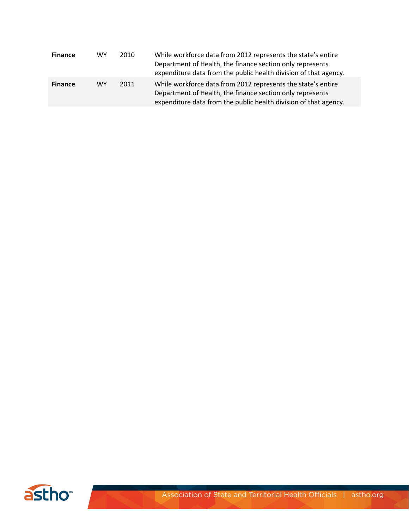| <b>Finance</b> | WY        | 2010 | While workforce data from 2012 represents the state's entire<br>Department of Health, the finance section only represents<br>expenditure data from the public health division of that agency. |
|----------------|-----------|------|-----------------------------------------------------------------------------------------------------------------------------------------------------------------------------------------------|
| <b>Finance</b> | <b>WY</b> | 2011 | While workforce data from 2012 represents the state's entire<br>Department of Health, the finance section only represents<br>expenditure data from the public health division of that agency. |



**RATION**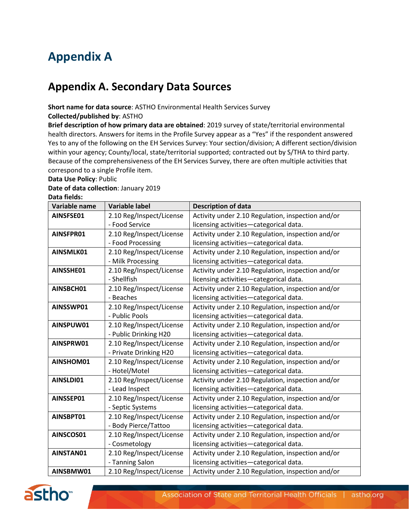# **Appendix A**

# **Appendix A. Secondary Data Sources**

#### **Short name for data source**: ASTHO Environmental Health Services Survey **Collected/published by**: ASTHO

**Brief description of how primary data are obtained**: 2019 survey of state/territorial environmental health directors. Answers for items in the Profile Survey appear as a "Yes" if the respondent answered Yes to any of the following on the EH Services Survey: Your section/division; A different section/division within your agency; County/local, state/territorial supported; contracted out by S/THA to third party. Because of the comprehensiveness of the EH Services Survey, there are often multiple activities that correspond to a single Profile item.

#### **Data Use Policy**: Public

## **Date of data collection**: January 2019

#### **Data fields:**

| Variable name | <b>Variable label</b>    | <b>Description of data</b>                        |
|---------------|--------------------------|---------------------------------------------------|
| AINSFSE01     | 2.10 Reg/Inspect/License | Activity under 2.10 Regulation, inspection and/or |
|               | - Food Service           | licensing activities-categorical data.            |
| AINSFPR01     | 2.10 Reg/Inspect/License | Activity under 2.10 Regulation, inspection and/or |
|               | - Food Processing        | licensing activities-categorical data.            |
| AINSMLK01     | 2.10 Reg/Inspect/License | Activity under 2.10 Regulation, inspection and/or |
|               | - Milk Processing        | licensing activities-categorical data.            |
| AINSSHE01     | 2.10 Reg/Inspect/License | Activity under 2.10 Regulation, inspection and/or |
|               | - Shellfish              | licensing activities-categorical data.            |
| AINSBCH01     | 2.10 Reg/Inspect/License | Activity under 2.10 Regulation, inspection and/or |
|               | - Beaches                | licensing activities-categorical data.            |
| AINSSWP01     | 2.10 Reg/Inspect/License | Activity under 2.10 Regulation, inspection and/or |
|               | - Public Pools           | licensing activities-categorical data.            |
| AINSPUW01     | 2.10 Reg/Inspect/License | Activity under 2.10 Regulation, inspection and/or |
|               | - Public Drinking H20    | licensing activities-categorical data.            |
| AINSPRW01     | 2.10 Reg/Inspect/License | Activity under 2.10 Regulation, inspection and/or |
|               | - Private Drinking H20   | licensing activities-categorical data.            |
| AINSHOM01     | 2.10 Reg/Inspect/License | Activity under 2.10 Regulation, inspection and/or |
|               | - Hotel/Motel            | licensing activities-categorical data.            |
| AINSLDI01     | 2.10 Reg/Inspect/License | Activity under 2.10 Regulation, inspection and/or |
|               | - Lead Inspect           | licensing activities-categorical data.            |
| AINSSEP01     | 2.10 Reg/Inspect/License | Activity under 2.10 Regulation, inspection and/or |
|               | - Septic Systems         | licensing activities-categorical data.            |
| AINSBPT01     | 2.10 Reg/Inspect/License | Activity under 2.10 Regulation, inspection and/or |
|               | - Body Pierce/Tattoo     | licensing activities-categorical data.            |
| AINSCOS01     | 2.10 Reg/Inspect/License | Activity under 2.10 Regulation, inspection and/or |
|               | - Cosmetology            | licensing activities-categorical data.            |
| AINSTAN01     | 2.10 Reg/Inspect/License | Activity under 2.10 Regulation, inspection and/or |
|               | - Tanning Salon          | licensing activities-categorical data.            |
| AINSBMW01     | 2.10 Reg/Inspect/License | Activity under 2.10 Regulation, inspection and/or |

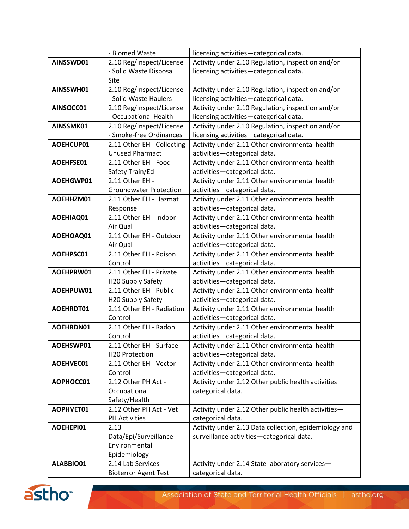|           | - Biomed Waste                | licensing activities-categorical data.                |
|-----------|-------------------------------|-------------------------------------------------------|
| AINSSWD01 | 2.10 Reg/Inspect/License      | Activity under 2.10 Regulation, inspection and/or     |
|           | - Solid Waste Disposal        | licensing activities-categorical data.                |
|           | Site                          |                                                       |
| AINSSWH01 | 2.10 Reg/Inspect/License      | Activity under 2.10 Regulation, inspection and/or     |
|           | - Solid Waste Haulers         | licensing activities-categorical data.                |
| AINSOCC01 | 2.10 Reg/Inspect/License      | Activity under 2.10 Regulation, inspection and/or     |
|           | - Occupational Health         | licensing activities-categorical data.                |
| AINSSMK01 | 2.10 Reg/Inspect/License      | Activity under 2.10 Regulation, inspection and/or     |
|           | - Smoke-free Ordinances       | licensing activities-categorical data.                |
| AOEHCUP01 | 2.11 Other EH - Collecting    | Activity under 2.11 Other environmental health        |
|           | <b>Unused Pharmact</b>        | activities-categorical data.                          |
| AOEHFSE01 | 2.11 Other EH - Food          | Activity under 2.11 Other environmental health        |
|           | Safety Train/Ed               | activities-categorical data.                          |
| AOEHGWP01 | 2.11 Other EH -               | Activity under 2.11 Other environmental health        |
|           | <b>Groundwater Protection</b> | activities-categorical data.                          |
| AOEHHZM01 | 2.11 Other EH - Hazmat        | Activity under 2.11 Other environmental health        |
|           | Response                      | activities-categorical data.                          |
| AOEHIAQ01 | 2.11 Other EH - Indoor        | Activity under 2.11 Other environmental health        |
|           | Air Qual                      | activities-categorical data.                          |
| AOEHOAQ01 | 2.11 Other EH - Outdoor       | Activity under 2.11 Other environmental health        |
|           | Air Qual                      | activities-categorical data.                          |
| AOEHPSC01 | 2.11 Other EH - Poison        | Activity under 2.11 Other environmental health        |
|           | Control                       | activities-categorical data.                          |
| AOEHPRW01 | 2.11 Other EH - Private       | Activity under 2.11 Other environmental health        |
|           | H20 Supply Safety             | activities-categorical data.                          |
| AOEHPUW01 | 2.11 Other EH - Public        | Activity under 2.11 Other environmental health        |
|           | H20 Supply Safety             | activities-categorical data.                          |
| AOEHRDT01 | 2.11 Other EH - Radiation     | Activity under 2.11 Other environmental health        |
|           | Control                       | activities-categorical data.                          |
| AOEHRDN01 | 2.11 Other EH - Radon         | Activity under 2.11 Other environmental health        |
|           | Control                       | activities-categorical data.                          |
| AOEHSWP01 | 2.11 Other EH - Surface       | Activity under 2.11 Other environmental health        |
|           | H20 Protection                | activities-categorical data.                          |
| AOEHVEC01 | 2.11 Other EH - Vector        | Activity under 2.11 Other environmental health        |
|           | Control                       | activities-categorical data.                          |
| AOPHOCC01 | 2.12 Other PH Act -           | Activity under 2.12 Other public health activities-   |
|           | Occupational                  | categorical data.                                     |
|           | Safety/Health                 |                                                       |
| AOPHVET01 | 2.12 Other PH Act - Vet       | Activity under 2.12 Other public health activities-   |
|           | <b>PH Activities</b>          | categorical data.                                     |
| AOEHEPI01 | 2.13                          | Activity under 2.13 Data collection, epidemiology and |
|           | Data/Epi/Surveillance -       | surveillance activities-categorical data.             |
|           | Environmental                 |                                                       |
|           | Epidemiology                  |                                                       |
| ALABBIO01 | 2.14 Lab Services -           | Activity under 2.14 State laboratory services-        |
|           | <b>Bioterror Agent Test</b>   | categorical data.                                     |

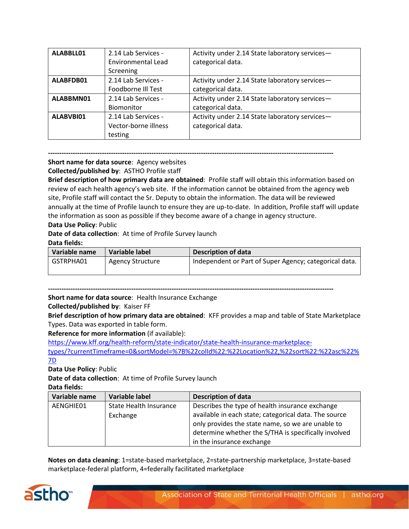| ALABBLL01 | 2.14 Lab Services -  | Activity under 2.14 State laboratory services- |
|-----------|----------------------|------------------------------------------------|
|           | Environmental Lead   | categorical data.                              |
|           | Screening            |                                                |
| ALABFDB01 | 2.14 Lab Services -  | Activity under 2.14 State laboratory services- |
|           | Foodborne III Test   | categorical data.                              |
| ALABBMN01 | 2.14 Lab Services -  | Activity under 2.14 State laboratory services- |
|           | Biomonitor           | categorical data.                              |
| ALABVBI01 | 2.14 Lab Services -  | Activity under 2.14 State laboratory services- |
|           | Vector-borne illness | categorical data.                              |
|           | testing              |                                                |

#### **-------------------------------------------------------------------------------------------------------------------------------**

**Short name for data source**: Agency websites **Collected/published by**: ASTHO Profile staff

**Brief description of how primary data are obtained**: Profile staff will obtain this information based on review of each health agency's web site. If the information cannot be obtained from the agency web site, Profile staff will contact the Sr. Deputy to obtain the information. The data will be reviewed annually at the time of Profile launch to ensure they are up-to-date. In addition, Profile staff will update the information as soon as possible if they become aware of a change in agency structure.

### **Data Use Policy**: Public

**Date of data collection**: At time of Profile Survey launch

#### **Data fields:**

| Variable name | Variable label          | <b>Description of data</b>                             |
|---------------|-------------------------|--------------------------------------------------------|
| GSTRPHA01     | <b>Agency Structure</b> | Independent or Part of Super Agency; categorical data. |
|               |                         |                                                        |

**-------------------------------------------------------------------------------------------------------------------------------**

**Short name for data source**: Health Insurance Exchange

**Collected/published by**: Kaiser FF

**Brief description of how primary data are obtained**: KFF provides a map and table of State Marketplace Types. Data was exported in table form.

**Reference for more information** (if available):

[https://www.kff.org/health-reform/state-indicator/state-health-insurance-marketplace](https://www.kff.org/health-reform/state-indicator/state-health-insurance-marketplace-types/?currentTimeframe=0&sortModel=%7B%22colId%22:%22Location%22,%22sort%22:%22asc%22%7D)[types/?currentTimeframe=0&sortModel=%7B%22colId%22:%22Location%22,%22sort%22:%22asc%22%](https://www.kff.org/health-reform/state-indicator/state-health-insurance-marketplace-types/?currentTimeframe=0&sortModel=%7B%22colId%22:%22Location%22,%22sort%22:%22asc%22%7D) [7D](https://www.kff.org/health-reform/state-indicator/state-health-insurance-marketplace-types/?currentTimeframe=0&sortModel=%7B%22colId%22:%22Location%22,%22sort%22:%22asc%22%7D) 

**Data Use Policy**: Public

**Date of data collection**: At time of Profile Survey launch

**Data fields:**

| Variable name | <b>Variable label</b>  | <b>Description of data</b>                            |
|---------------|------------------------|-------------------------------------------------------|
| AENGHIE01     | State Health Insurance | Describes the type of health insurance exchange       |
|               | Exchange               | available in each state; categorical data. The source |
|               |                        | only provides the state name, so we are unable to     |
|               |                        | determine whether the S/THA is specifically involved  |
|               |                        | in the insurance exchange                             |

**Notes on data cleaning**: 1=state-based marketplace, 2=state-partnership marketplace, 3=state-based marketplace-federal platform, 4=federally facilitated marketplace

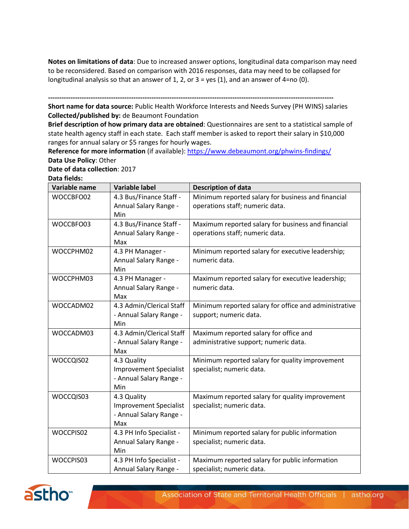**Notes on limitations of data**: Due to increased answer options, longitudinal data comparison may need to be reconsidered. Based on comparison with 2016 responses, data may need to be collapsed for longitudinal analysis so that an answer of 1, 2, or 3 = yes (1), and an answer of 4=no (0).

**-------------------------------------------------------------------------------------------------------------------------------**

**Short name for data source:** Public Health Workforce Interests and Needs Survey (PH WINS) salaries **Collected/published by:** de Beaumont Foundation

**Brief description of how primary data are obtained**: Questionnaires are sent to a statistical sample of state health agency staff in each state. Each staff member is asked to report their salary in \$10,000 ranges for annual salary or \$5 ranges for hourly wages.

Reference for more information (if available)[: https://www.debeaumont.org/phwins-findings/](https://www.debeaumont.org/phwins-findings/) **Data Use Policy**: Other

**Date of data collection**: 2017

**Data fields:**

| Variable name | <b>Variable label</b>         | <b>Description of data</b>                            |
|---------------|-------------------------------|-------------------------------------------------------|
| WOCCBFO02     | 4.3 Bus/Finance Staff -       | Minimum reported salary for business and financial    |
|               | Annual Salary Range -         | operations staff; numeric data.                       |
|               | Min                           |                                                       |
| WOCCBFO03     | 4.3 Bus/Finance Staff -       | Maximum reported salary for business and financial    |
|               | Annual Salary Range -         | operations staff; numeric data.                       |
|               | Max                           |                                                       |
| WOCCPHM02     | 4.3 PH Manager -              | Minimum reported salary for executive leadership;     |
|               | Annual Salary Range -         | numeric data.                                         |
|               | Min                           |                                                       |
| WOCCPHM03     | 4.3 PH Manager -              | Maximum reported salary for executive leadership;     |
|               | Annual Salary Range -         | numeric data.                                         |
|               | Max                           |                                                       |
| WOCCADM02     | 4.3 Admin/Clerical Staff      | Minimum reported salary for office and administrative |
|               | - Annual Salary Range -       | support; numeric data.                                |
|               | Min                           |                                                       |
| WOCCADM03     | 4.3 Admin/Clerical Staff      | Maximum reported salary for office and                |
|               | - Annual Salary Range -       | administrative support; numeric data.                 |
| WOCCQIS02     | Max<br>4.3 Quality            | Minimum reported salary for quality improvement       |
|               | <b>Improvement Specialist</b> | specialist; numeric data.                             |
|               | - Annual Salary Range -       |                                                       |
|               | Min                           |                                                       |
| WOCCQIS03     | 4.3 Quality                   | Maximum reported salary for quality improvement       |
|               | <b>Improvement Specialist</b> | specialist; numeric data.                             |
|               | - Annual Salary Range -       |                                                       |
|               | Max                           |                                                       |
| WOCCPIS02     | 4.3 PH Info Specialist -      | Minimum reported salary for public information        |
|               | Annual Salary Range -         | specialist; numeric data.                             |
|               | Min                           |                                                       |
| WOCCPIS03     | 4.3 PH Info Specialist -      | Maximum reported salary for public information        |
|               | Annual Salary Range -         | specialist; numeric data.                             |

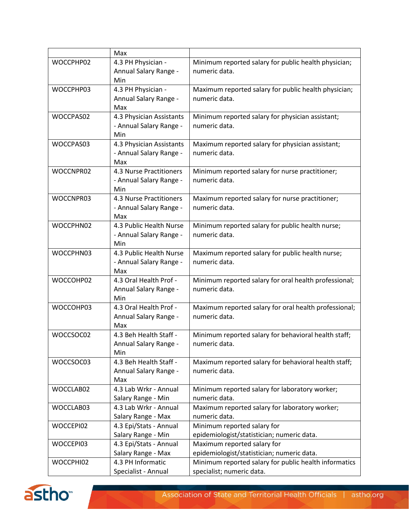|           | Max                      |                                                       |
|-----------|--------------------------|-------------------------------------------------------|
| WOCCPHP02 | 4.3 PH Physician -       | Minimum reported salary for public health physician;  |
|           | Annual Salary Range -    | numeric data.                                         |
|           | Min                      |                                                       |
| WOCCPHP03 | 4.3 PH Physician -       | Maximum reported salary for public health physician;  |
|           | Annual Salary Range -    | numeric data.                                         |
|           | Max                      |                                                       |
| WOCCPAS02 | 4.3 Physician Assistants | Minimum reported salary for physician assistant;      |
|           | - Annual Salary Range -  | numeric data.                                         |
|           | Min                      |                                                       |
| WOCCPAS03 | 4.3 Physician Assistants | Maximum reported salary for physician assistant;      |
|           | - Annual Salary Range -  | numeric data.                                         |
|           | Max                      |                                                       |
| WOCCNPR02 | 4.3 Nurse Practitioners  | Minimum reported salary for nurse practitioner;       |
|           | - Annual Salary Range -  | numeric data.                                         |
|           | Min                      |                                                       |
| WOCCNPR03 | 4.3 Nurse Practitioners  | Maximum reported salary for nurse practitioner;       |
|           | - Annual Salary Range -  | numeric data.                                         |
|           | Max                      |                                                       |
| WOCCPHN02 | 4.3 Public Health Nurse  | Minimum reported salary for public health nurse;      |
|           | - Annual Salary Range -  | numeric data.                                         |
|           | Min                      |                                                       |
| WOCCPHN03 | 4.3 Public Health Nurse  | Maximum reported salary for public health nurse;      |
|           | - Annual Salary Range -  | numeric data.                                         |
|           | Max                      |                                                       |
| WOCCOHP02 | 4.3 Oral Health Prof -   | Minimum reported salary for oral health professional; |
|           | Annual Salary Range -    | numeric data.                                         |
|           | Min                      |                                                       |
| WOCCOHP03 | 4.3 Oral Health Prof -   | Maximum reported salary for oral health professional; |
|           | Annual Salary Range -    | numeric data.                                         |
|           | Max                      |                                                       |
| WOCCSOC02 | 4.3 Beh Health Staff -   | Minimum reported salary for behavioral health staff;  |
|           | Annual Salary Range -    | numeric data.                                         |
|           | Min                      |                                                       |
| WOCCSOC03 | 4.3 Beh Health Staff -   | Maximum reported salary for behavioral health staff;  |
|           | Annual Salary Range -    | numeric data.                                         |
|           | Max                      |                                                       |
| WOCCLAB02 | 4.3 Lab Wrkr - Annual    | Minimum reported salary for laboratory worker;        |
|           | Salary Range - Min       | numeric data.                                         |
| WOCCLAB03 | 4.3 Lab Wrkr - Annual    | Maximum reported salary for laboratory worker;        |
|           | Salary Range - Max       | numeric data.                                         |
| WOCCEPI02 | 4.3 Epi/Stats - Annual   | Minimum reported salary for                           |
|           | Salary Range - Min       | epidemiologist/statistician; numeric data.            |
| WOCCEPI03 | 4.3 Epi/Stats - Annual   | Maximum reported salary for                           |
|           | Salary Range - Max       | epidemiologist/statistician; numeric data.            |
| WOCCPHI02 | 4.3 PH Informatic        | Minimum reported salary for public health informatics |
|           | Specialist - Annual      | specialist; numeric data.                             |

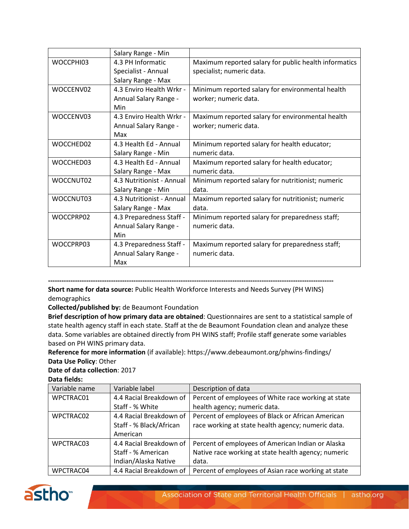|           | Salary Range - Min        |                                                       |
|-----------|---------------------------|-------------------------------------------------------|
| WOCCPHI03 | 4.3 PH Informatic         | Maximum reported salary for public health informatics |
|           | Specialist - Annual       | specialist; numeric data.                             |
|           | Salary Range - Max        |                                                       |
| WOCCENV02 | 4.3 Enviro Health Wrkr -  | Minimum reported salary for environmental health      |
|           | Annual Salary Range -     | worker; numeric data.                                 |
|           | Min                       |                                                       |
| WOCCENV03 | 4.3 Enviro Health Wrkr -  | Maximum reported salary for environmental health      |
|           | Annual Salary Range -     | worker; numeric data.                                 |
|           | Max                       |                                                       |
| WOCCHED02 | 4.3 Health Ed - Annual    | Minimum reported salary for health educator;          |
|           | Salary Range - Min        | numeric data.                                         |
| WOCCHED03 | 4.3 Health Ed - Annual    | Maximum reported salary for health educator;          |
|           | Salary Range - Max        | numeric data.                                         |
| WOCCNUT02 | 4.3 Nutritionist - Annual | Minimum reported salary for nutritionist; numeric     |
|           | Salary Range - Min        | data.                                                 |
| WOCCNUT03 | 4.3 Nutritionist - Annual | Maximum reported salary for nutritionist; numeric     |
|           | Salary Range - Max        | data.                                                 |
| WOCCPRP02 | 4.3 Preparedness Staff -  | Minimum reported salary for preparedness staff;       |
|           | Annual Salary Range -     | numeric data.                                         |
|           | Min                       |                                                       |
| WOCCPRP03 | 4.3 Preparedness Staff -  | Maximum reported salary for preparedness staff;       |
|           | Annual Salary Range -     | numeric data.                                         |
|           | Max                       |                                                       |

**-------------------------------------------------------------------------------------------------------------------------------**

**Short name for data source:** Public Health Workforce Interests and Needs Survey (PH WINS) demographics

**Collected/published by:** de Beaumont Foundation

**Brief description of how primary data are obtained**: Questionnaires are sent to a statistical sample of state health agency staff in each state. Staff at the de Beaumont Foundation clean and analyze these data. Some variables are obtained directly from PH WINS staff; Profile staff generate some variables based on PH WINS primary data.

**Reference for more information** (if available): https://www.debeaumont.org/phwins-findings/ **Data Use Policy**: Other

#### **Date of data collection**: 2017

**Data fields:**

| Variable name | Variable label          | Description of data                                 |
|---------------|-------------------------|-----------------------------------------------------|
| WPCTRAC01     | 4.4 Racial Breakdown of | Percent of employees of White race working at state |
|               | Staff - % White         | health agency; numeric data.                        |
| WPCTRAC02     | 4.4 Racial Breakdown of | Percent of employees of Black or African American   |
|               | Staff - % Black/African | race working at state health agency; numeric data.  |
|               | American                |                                                     |
| WPCTRAC03     | 4.4 Racial Breakdown of | Percent of employees of American Indian or Alaska   |
|               | Staff - % American      | Native race working at state health agency; numeric |
|               | Indian/Alaska Native    | data.                                               |
| WPCTRAC04     | 4.4 Racial Breakdown of | Percent of employees of Asian race working at state |

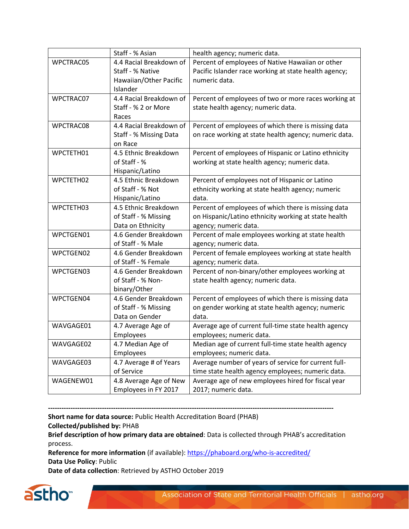|           | Staff - % Asian                     | health agency; numeric data.                          |
|-----------|-------------------------------------|-------------------------------------------------------|
| WPCTRAC05 | 4.4 Racial Breakdown of             | Percent of employees of Native Hawaiian or other      |
|           | Staff - % Native                    | Pacific Islander race working at state health agency; |
|           | Hawaiian/Other Pacific              | numeric data.                                         |
| WPCTRAC07 | Islander<br>4.4 Racial Breakdown of |                                                       |
|           | Staff - % 2 or More                 | Percent of employees of two or more races working at  |
|           | Races                               | state health agency; numeric data.                    |
| WPCTRAC08 | 4.4 Racial Breakdown of             | Percent of employees of which there is missing data   |
|           | Staff - % Missing Data              | on race working at state health agency; numeric data. |
|           | on Race                             |                                                       |
| WPCTETH01 | 4.5 Ethnic Breakdown                | Percent of employees of Hispanic or Latino ethnicity  |
|           | of Staff - %                        | working at state health agency; numeric data.         |
|           | Hispanic/Latino                     |                                                       |
| WPCTETH02 | 4.5 Ethnic Breakdown                | Percent of employees not of Hispanic or Latino        |
|           | of Staff - % Not                    | ethnicity working at state health agency; numeric     |
|           | Hispanic/Latino                     | data.                                                 |
| WPCTETH03 | 4.5 Ethnic Breakdown                | Percent of employees of which there is missing data   |
|           | of Staff - % Missing                | on Hispanic/Latino ethnicity working at state health  |
|           | Data on Ethnicity                   | agency; numeric data.                                 |
| WPCTGEN01 | 4.6 Gender Breakdown                | Percent of male employees working at state health     |
|           | of Staff - % Male                   | agency; numeric data.                                 |
| WPCTGEN02 | 4.6 Gender Breakdown                | Percent of female employees working at state health   |
|           | of Staff - % Female                 | agency; numeric data.                                 |
| WPCTGEN03 | 4.6 Gender Breakdown                | Percent of non-binary/other employees working at      |
|           | of Staff - % Non-                   | state health agency; numeric data.                    |
|           | binary/Other                        |                                                       |
| WPCTGEN04 | 4.6 Gender Breakdown                | Percent of employees of which there is missing data   |
|           | of Staff - % Missing                | on gender working at state health agency; numeric     |
|           | Data on Gender                      | data.                                                 |
| WAVGAGE01 | 4.7 Average Age of                  | Average age of current full-time state health agency  |
|           | Employees                           | employees; numeric data.                              |
| WAVGAGE02 | 4.7 Median Age of                   | Median age of current full-time state health agency   |
|           | Employees                           | employees; numeric data.                              |
| WAVGAGE03 | 4.7 Average # of Years              | Average number of years of service for current full-  |
|           | of Service                          | time state health agency employees; numeric data.     |
| WAGENEW01 | 4.8 Average Age of New              | Average age of new employees hired for fiscal year    |
|           | Employees in FY 2017                | 2017; numeric data.                                   |

**-------------------------------------------------------------------------------------------------------------------------------**

**Short name for data source:** Public Health Accreditation Board (PHAB) **Collected/published by:** PHAB

**Brief description of how primary data are obtained**: Data is collected through PHAB's accreditation process.

**Reference for more information** (if available)[: https://phaboard.org/who-is-accredited/](https://phaboard.org/who-is-accredited/) **Data Use Policy**: Public

**Date of data collection**: Retrieved by ASTHO October 2019

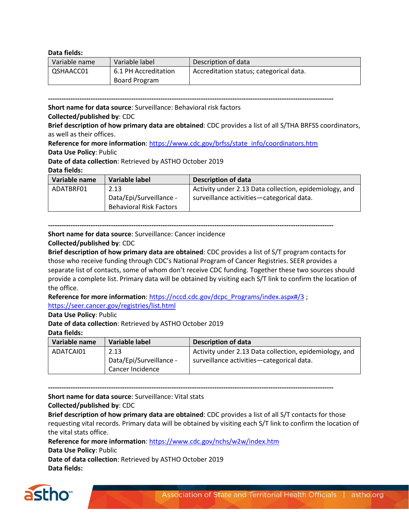#### **Data fields:**

| Variable name | Variable label       | Description of data                     |
|---------------|----------------------|-----------------------------------------|
| QSHAACC01     | 6.1 PH Accreditation | Accreditation status; categorical data. |
|               | Board Program        |                                         |

**-------------------------------------------------------------------------------------------------------------------------------**

**Short name for data source**: Surveillance: Behavioral risk factors

#### **Collected/published by**: CDC

**Brief description of how primary data are obtained**: CDC provides a list of all S/THA BRFSS coordinators, as well as their offices.

**Reference for more information**: [https://www.cdc.gov/brfss/state\\_info/coordinators.htm](https://www.cdc.gov/brfss/state_info/coordinators.htm) **Data Use Policy**: Public

**Date of data collection**: Retrieved by ASTHO October 2019

#### **Data fields:**

| Variable name | Variable label                 | <b>Description of data</b>                             |
|---------------|--------------------------------|--------------------------------------------------------|
| ADATBRF01     | 2.13                           | Activity under 2.13 Data collection, epidemiology, and |
|               | Data/Epi/Surveillance -        | surveillance activities—categorical data.              |
|               | <b>Behavioral Risk Factors</b> |                                                        |

**-------------------------------------------------------------------------------------------------------------------------------**

**Short name for data source**: Surveillance: Cancer incidence

#### **Collected/published by**: CDC

**Brief description of how primary data are obtained**: CDC provides a list of S/T program contacts for those who receive funding through CDC's National Program of Cancer Registries. SEER provides a separate list of contacts, some of whom don't receive CDC funding. Together these two sources should provide a complete list. Primary data will be obtained by visiting each S/T link to confirm the location of the office.

**Reference for more information**: [https://nccd.cdc.gov/dcpc\\_Programs/index.aspx#/3](https://nccd.cdc.gov/dcpc_Programs/index.aspx#/3) ; <https://seer.cancer.gov/registries/list.html>

#### **Data Use Policy**: Public

**Date of data collection**: Retrieved by ASTHO October 2019

#### **Data fields:**

| Variable name | Variable label          | <b>Description of data</b>                             |
|---------------|-------------------------|--------------------------------------------------------|
| ADATCAI01     | 2.13                    | Activity under 2.13 Data collection, epidemiology, and |
|               | Data/Epi/Surveillance - | surveillance activities-categorical data.              |
|               | Cancer Incidence        |                                                        |

**-------------------------------------------------------------------------------------------------------------------------------**

**Short name for data source**: Surveillance: Vital stats

#### **Collected/published by**: CDC

**Brief description of how primary data are obtained**: CDC provides a list of all S/T contacts for those requesting vital records. Primary data will be obtained by visiting each S/T link to confirm the location of the vital stats office.

**Reference for more information**:<https://www.cdc.gov/nchs/w2w/index.htm>

**Data Use Policy**: Public

**Date of data collection**: Retrieved by ASTHO October 2019 **Data fields:**

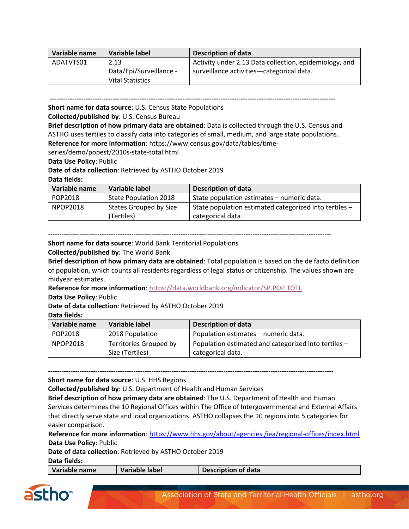| Variable name | Variable label          | <b>Description of data</b>                             |
|---------------|-------------------------|--------------------------------------------------------|
| ADATVTS01     | 2.13                    | Activity under 2.13 Data collection, epidemiology, and |
|               | Data/Epi/Surveillance - | surveillance activities-categorical data.              |
|               | Vital Statistics        |                                                        |

**------------------------------------------------------------------------------------------------------------------------------- Short name for data source**: U.S. Census State Populations

**Collected/published by**: U.S. Census Bureau

**Brief description of how primary data are obtained**: Data is collected through the U.S. Census and ASTHO uses tertiles to classify data into categories of small, medium, and large state populations. **Reference for more information**: https://www.census.gov/data/tables/time-

series/demo/popest/2010s-state-total.html

**Data Use Policy**: Public

**Date of data collection**: Retrieved by ASTHO October 2019

#### **Data fields:**

| Variable name | Variable label                       | <b>Description of data</b>                                                  |
|---------------|--------------------------------------|-----------------------------------------------------------------------------|
| POP2018       | <b>State Population 2018</b>         | State population estimates - numeric data.                                  |
| NPOP2018      | States Grouped by Size<br>(Tertiles) | State population estimated categorized into tertiles -<br>categorical data. |

**------------------------------------------------------------------------------------------------------------------------------**

**Short name for data source**: World Bank Territorial Populations

**Collected/published by**: The World Bank

**Brief description of how primary data are obtained**: Total population is based on the de facto definition of population, which counts all residents regardless of legal status or citizenship. The values shown are midyear estimates.

**Reference for more information**:<https://data.worldbank.org/indicator/SP.POP.TOTL>

**Data Use Policy**: Public

**Date of data collection**: Retrieved by ASTHO October 2019

#### **Data fields:**

| Variable name | Variable label         | Description of data                                  |
|---------------|------------------------|------------------------------------------------------|
| POP2018       | 2018 Population        | Population estimates - numeric data.                 |
| NPOP2018      | Territories Grouped by | Population estimated and categorized into tertiles - |
|               | Size (Tertiles)        | categorical data.                                    |

**-------------------------------------------------------------------------------------------------------------------------------**

**Short name for data source**: U.S. HHS Regions

**Collected/published by**: U.S. Department of Health and Human Services

**Brief description of how primary data are obtained**: The U.S. Department of Health and Human Services determines the 10 Regional Offices within The Office of Intergovernmental and External Affairs that directly serve state and local organizations. ASTHO collapses the 10 regions into 5 categories for easier comparison.

**Reference for more information**[: https://www.hhs.gov/about/agencies](https://www.hhs.gov/about/agencies%20/iea/regional-offices/index.html) /iea/regional-offices/index.html **Data Use Policy**: Public

**Date of data collection**: Retrieved by ASTHO October 2019

**Data fields:**

| Variable name | Variable label | Description of data |
|---------------|----------------|---------------------|
|               |                |                     |